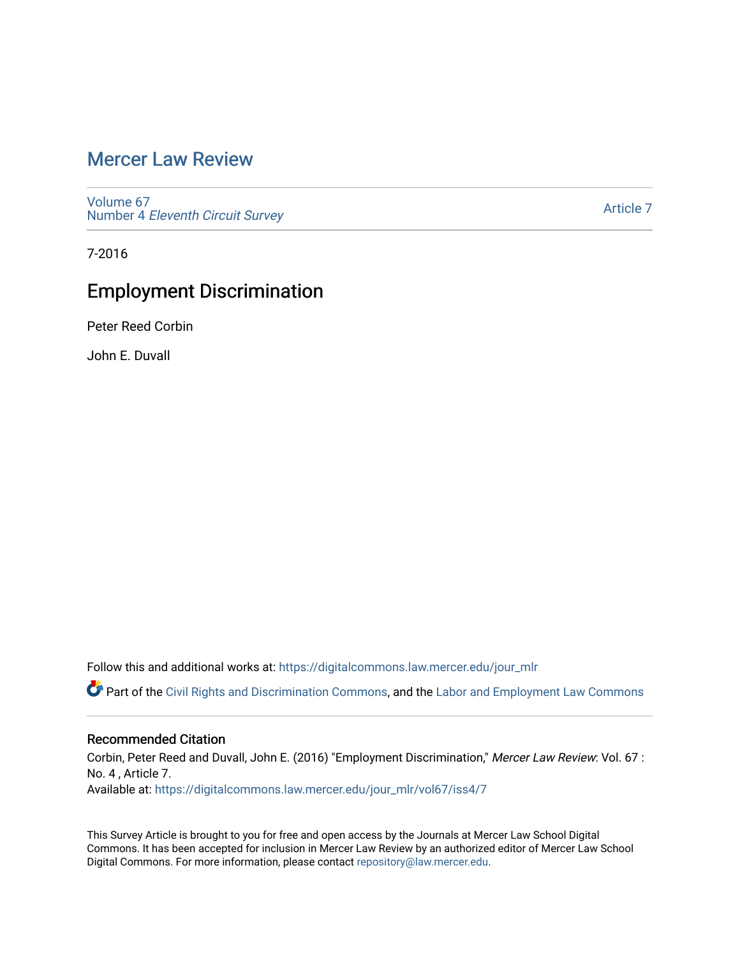## [Mercer Law Review](https://digitalcommons.law.mercer.edu/jour_mlr)

[Volume 67](https://digitalcommons.law.mercer.edu/jour_mlr/vol67) Number 4 [Eleventh Circuit Survey](https://digitalcommons.law.mercer.edu/jour_mlr/vol67/iss4) 

[Article 7](https://digitalcommons.law.mercer.edu/jour_mlr/vol67/iss4/7) 

7-2016

# Employment Discrimination

Peter Reed Corbin

John E. Duvall

Follow this and additional works at: [https://digitalcommons.law.mercer.edu/jour\\_mlr](https://digitalcommons.law.mercer.edu/jour_mlr?utm_source=digitalcommons.law.mercer.edu%2Fjour_mlr%2Fvol67%2Fiss4%2F7&utm_medium=PDF&utm_campaign=PDFCoverPages)

Part of the [Civil Rights and Discrimination Commons,](http://network.bepress.com/hgg/discipline/585?utm_source=digitalcommons.law.mercer.edu%2Fjour_mlr%2Fvol67%2Fiss4%2F7&utm_medium=PDF&utm_campaign=PDFCoverPages) and the [Labor and Employment Law Commons](http://network.bepress.com/hgg/discipline/909?utm_source=digitalcommons.law.mercer.edu%2Fjour_mlr%2Fvol67%2Fiss4%2F7&utm_medium=PDF&utm_campaign=PDFCoverPages) 

## Recommended Citation

Corbin, Peter Reed and Duvall, John E. (2016) "Employment Discrimination," Mercer Law Review: Vol. 67 : No. 4 , Article 7. Available at: [https://digitalcommons.law.mercer.edu/jour\\_mlr/vol67/iss4/7](https://digitalcommons.law.mercer.edu/jour_mlr/vol67/iss4/7?utm_source=digitalcommons.law.mercer.edu%2Fjour_mlr%2Fvol67%2Fiss4%2F7&utm_medium=PDF&utm_campaign=PDFCoverPages)

This Survey Article is brought to you for free and open access by the Journals at Mercer Law School Digital Commons. It has been accepted for inclusion in Mercer Law Review by an authorized editor of Mercer Law School Digital Commons. For more information, please contact [repository@law.mercer.edu](mailto:repository@law.mercer.edu).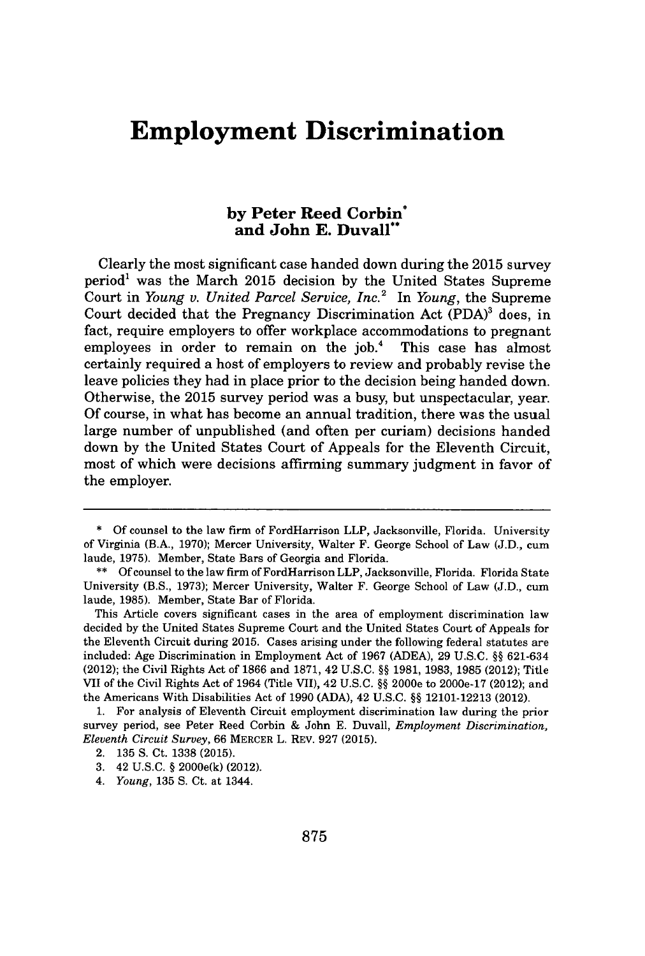## **Employment Discrimination**

## **by Peter Reed Corbin' and John E. Duvall"**

Clearly the most significant case handed down during the **2015** survey period' was the March **2015** decision **by** the United States Supreme Court in *Young v. United Parcel Service, Inc.<sup>2</sup>*In *Young,* the Supreme Court decided that the Pregnancy Discrimination Act **(PDA)'** does, in fact, require employers to offer workplace accommodations to pregnant employees in order to remain on the job.<sup>4</sup> This case has almost certainly required a host of employers to review and probably revise the leave policies they had in place prior to the decision being handed down. Otherwise, the **2015** survey period was a busy, but unspectacular, year. **Of** course, in what has become an annual tradition, there was the usual large number of unpublished (and often per curiam) decisions handed down **by** the United States Court of Appeals for the Eleventh Circuit, most of which were decisions affirming summary judgment in favor of the employer.

**<sup>\*</sup> Of** counsel to the law firm of FordHarrison LLP, Jacksonville, Florida. University of Virginia (B.A., **1970);** Mercer University, Walter F. George School of Law **(J.D.,** cum laude, **1975).** Member, State Bars of Georgia and Florida.

**<sup>\*\*</sup> Of** counsel to the law firm of FordHarrison LLP, Jacksonville, Florida. Florida State University (B.S., **1973);** Mercer University, Walter F. George School of Law **(J.D.,** cun laude, **1985).** Member, State Bar of Florida.

This Article covers significant cases in the area of employment discrimination law decided **by** the United States Supreme Court and the United States Court of Appeals for the Eleventh Circuit during **2015.** Cases arising under the following federal statutes are included: Age Discrimination in Employment Act of **1967 (ADEA), 29 U.S.C. §§ 621-634** (2012); the Civil Rights Act of **1866** and **1871,** 42 **U.S.C. §§ 1981, 1983, 1985** (2012); Title VII of the Civil Rights Act of 1964 (Title VII), 42 **U.S.C. §§** 2000e to 2000e-17 (2012); and the Americans With Disabilities Act of **1990 (ADA),** 42 **U.S.C. §§ 12101-12213** (2012).

**<sup>1.</sup>** For analysis of Eleventh Circuit employment discrimination law during the prior survey period, see Peter Reed Corbin **&** John **E.** Duvall, *Employment Discrimination, Eleventh Circuit Survey,* 66 MERCER L. REV. **927 (2015).**

<sup>2.</sup> **135 S.** Ct. **1338 (2015).**

**<sup>3.</sup>** 42 **U.S.C. §** 2000e(k) (2012).

<sup>4.</sup> *Young,* **135 S.** Ct. at 1344.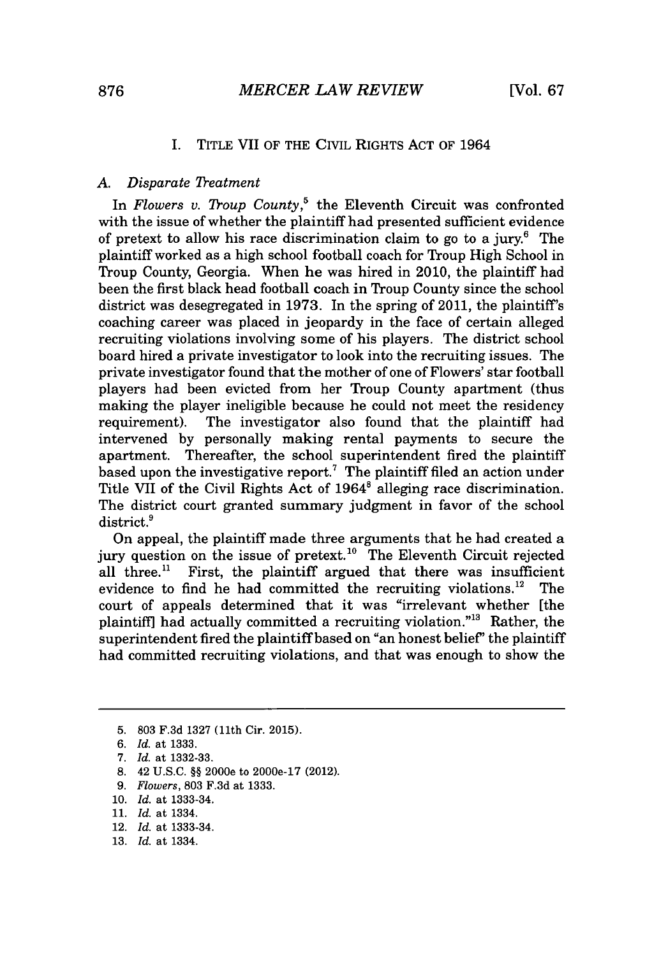#### I. TITLE VII OF THE CIVIL RIGHTS **ACT** OF 1964

#### *A. Disparate 'leatment*

*In Flowers v. Troup County,'* the Eleventh Circuit was confronted with the issue of whether the plaintiff had presented sufficient evidence of pretext to allow his race discrimination claim to go to a jury.' The plaintiff worked as a high school football coach for Troup High School in Troup County, Georgia. When he was hired in 2010, the plaintiff had been the first black head football coach in Troup County since the school district was desegregated in **1973.** In the spring of 2011, the plaintiff's coaching career was placed in jeopardy in the face of certain alleged recruiting violations involving some of his players. The district school board hired a private investigator to look into the recruiting issues. The private investigator found that the mother of one of Flowers' star football players had been evicted from her Troup County apartment (thus making the player ineligible because he could not meet the residency requirement). The investigator also found that the plaintiff had intervened **by** personally making rental payments to secure the apartment. Thereafter, the school superintendent fired the plaintiff based upon the investigative report.<sup>7</sup> The plaintiff filed an action under Title VII of the Civil Rights Act of 1964<sup>8</sup> alleging race discrimination. The district court granted summary judgment in favor of the school district.<sup>9</sup>

On appeal, the plaintiff made three arguments that he had created a jury question on the issue of pretext.<sup>10</sup> The Eleventh Circuit rejected all three.<sup>11</sup> First, the plaintiff argued that there was insufficient evidence to find he had committed the recruiting violations.<sup>12</sup> The court of appeals determined that it was "irrelevant whether [the plaintiff] had actually committed a recruiting violation."<sup>13</sup> Rather, the superintendent fired the plaintiff based on "an honest belief" the plaintiff had committed recruiting violations, and that was enough to show the

- **8.** 42 **U.S.C. §§** 2000e to 2000e-17 (2012).
- *9. Flowers,* **803 F.3d** at **1333.**
- **10.** *Id. at* **1333-34.**

- 12. *Id. at* **1333-34.**
- **13.** *Id. at* 1334.

**<sup>5. 803</sup> F.3d 1327** (11th Cir. **2015).**

*<sup>6.</sup> Id. at* **1333.**

*<sup>7.</sup> Id. at* **1332-33.**

**<sup>11.</sup>** *Id. at* 1334.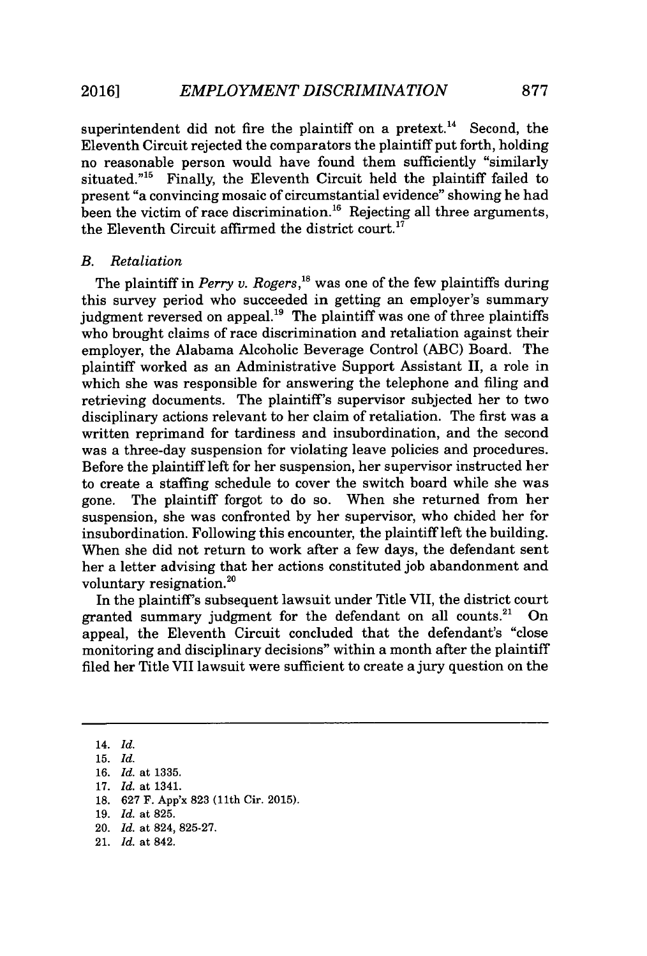superintendent did not fire the plaintiff on a pretext.<sup>14</sup> Second, the Eleventh Circuit rejected the comparators the plaintiff put forth, holding no reasonable person would have found them sufficiently "similarly situated."<sup>15</sup> Finally, the Eleventh Circuit held the plaintiff failed to present "a convincing mosaic of circumstantial evidence" showing he had been the victim of race discrimination.<sup>16</sup> Rejecting all three arguments, the Eleventh Circuit affirmed the district court.<sup>17</sup>

#### *B. Retaliation*

The plaintiff in *Perry v. Rogers,'s* was one of the few plaintiffs during this survey period who succeeded in getting an employer's summary judgment reversed on appeal.<sup>19</sup> The plaintiff was one of three plaintiffs who brought claims of race discrimination and retaliation against their employer, the Alabama Alcoholic Beverage Control **(ABC)** Board. The plaintiff worked as an Administrative Support Assistant II, a role in which she was responsible for answering the telephone and filing and retrieving documents. The plaintiff's supervisor subjected her to two disciplinary actions relevant to her claim of retaliation. The first was a written reprimand for tardiness and insubordination, and the second was a three-day suspension for violating leave policies and procedures. Before the plaintiff left for her suspension, her supervisor instructed her to create a staffing schedule to cover the switch board while she was gone. The plaintiff forgot to do so. When she returned from her suspension, she was confronted **by** her supervisor, who chided her for insubordination. Following this encounter, the plaintiff left the building. When she did not return to work after a few days, the defendant sent her a letter advising that her actions constituted **job** abandonment and voluntary resignation.<sup>20</sup>

In the plaintiff's subsequent lawsuit under Title VII, the district court granted summary judgment for the defendant on all counts.<sup>21</sup>  $On$ appeal, the Eleventh Circuit concluded that the defendant's "close monitoring and disciplinary decisions" within a month after the plaintiff filed her Title VII lawsuit were sufficient to create a jury question on the

- **18. 627** F. App'x **823** (11th Cir. **2015).**
- **19.** *Id.* at **825.**

21. *Id.* at 842.

<sup>14.</sup> *Id.*

**<sup>15.</sup>** *Id.*

**<sup>16.</sup>** *Id.* at **1335.**

**<sup>17.</sup>** *Id.* at 1341.

<sup>20.</sup> *Id.* at 824, **825-27.**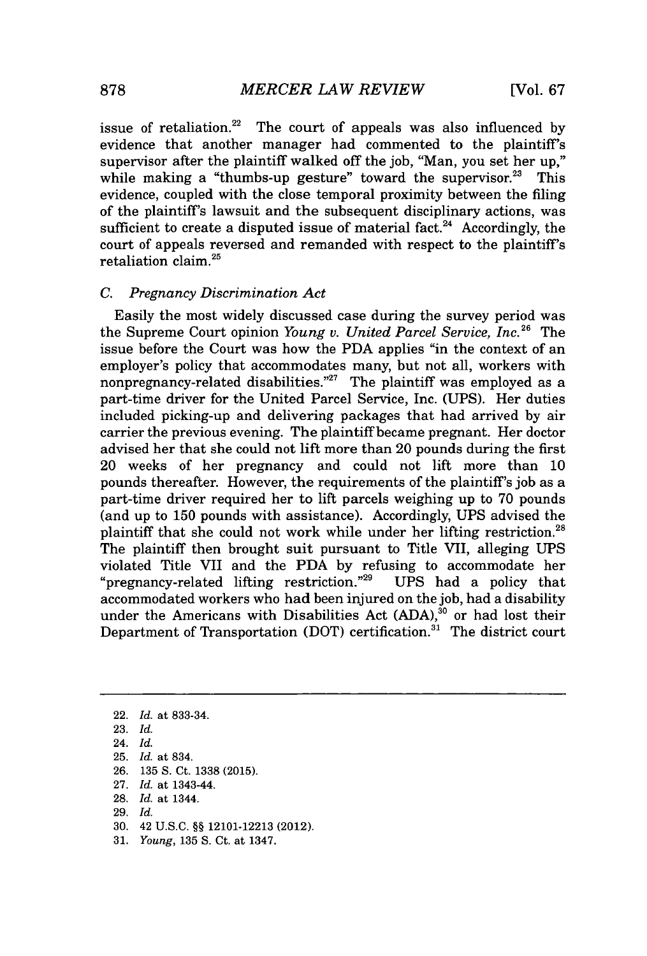issue of retaliation.<sup>22</sup> The court of appeals was also influenced by evidence that another manager had commented to the plaintiff's supervisor after the plaintiff walked off the **job,** "Man, you set her up," while making a "thumbs-up gesture" toward the supervisor.<sup>23</sup> This evidence, coupled with the close temporal proximity between the filing of the plaintiff's lawsuit and the subsequent disciplinary actions, was sufficient to create a disputed issue of material fact.<sup>24</sup> Accordingly, the court of appeals reversed and remanded with respect to the plaintiff's retaliation claim.<sup>25</sup>

#### *C. Pregnancy Discrimination Act*

Easily the most widely discussed case during the survey period was the Supreme Court opinion *Young v. United Parcel Service, Inc.* <sup>26</sup> The issue before the Court was how the **PDA** applies "in the context of an employer's policy that accommodates many, but not all, workers with nonpregnancy-related disabilities."<sup>27</sup> The plaintiff was employed as a part-time driver for the United Parcel Service, Inc. **(UPS).** Her duties included picking-up and delivering packages that had arrived **by** air carrier the previous evening. The plaintiff became pregnant. Her doctor advised her that she could not lift more than 20 pounds during the first 20 weeks of her pregnancy and could not lift more than **10** pounds thereafter. However, the requirements of the plaintiff's **job** as a part-time driver required her to lift parcels weighing up to **70** pounds (and up to **150** pounds with assistance). Accordingly, **UPS** advised the plaintiff that she could not work while under her lifting restriction.<sup>28</sup> The plaintiff then brought suit pursuant to Title VII, alleging UPS violated Title VII and the **PDA by** refusing to accommodate her "pregnancy-related lifting restriction. "29 **UPS** had a policy that accommodated workers who had been injured on the **job,** had a disability under the Americans with Disabilities Act **(ADA),"** or had lost their Department of Transportation (DOT) certification.<sup>31</sup> The district court

- **25.** *Id. at* 834.
- **26. 135 S.** Ct. **1338 (2015).**
- **27.** *Id. at* 1343-44.
- **28.** *Id. at* 1344.
- **29.** *Id.*
- **30.** 42 **U.S.C. §§ 12101-12213** (2012).
- **31.** *Young,* **135 S.** Ct. at 1347.

<sup>22.</sup> *Id. at* **833-34.**

**<sup>23.</sup>** *Id.*

<sup>24.</sup> *Id.*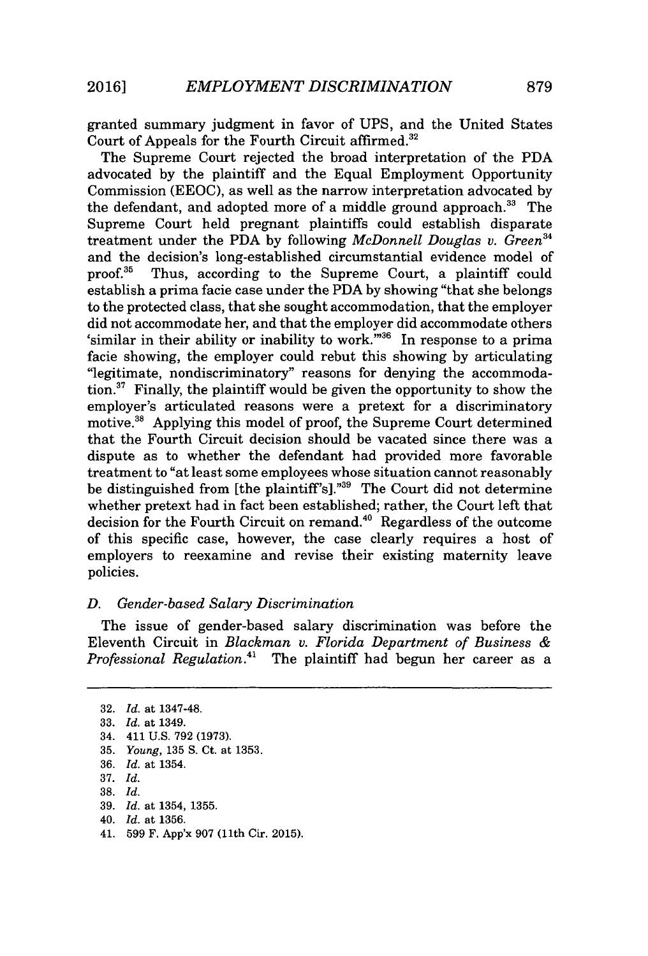granted summary judgment in favor of **UPS,** and the United States Court of Appeals for the Fourth Circuit affirmed.<sup>32</sup>

The Supreme Court rejected the broad interpretation of the **PDA** advocated **by** the plaintiff and the Equal Employment Opportunity Commission **(EEOC),** as well as the narrow interpretation advocated **by** the defendant, and adopted more of a middle ground approach.<sup>33</sup> The Supreme Court held pregnant plaintiffs could establish disparate treatment under the **PDA by** following *McDonnell Douglas v. Green"* and the decision's long-established circumstantial evidence model of proof.<sup>35</sup> Thus, according to the Supreme Court, a plaintiff could Thus, according to the Supreme Court, a plaintiff could establish a prima facie case under the **PDA by** showing "that she belongs to the protected class, that she sought accommodation, that the employer did not accommodate her, and that the employer did accommodate others 'similar in their ability or inability to work. $m_{36}$  In response to a prima facie showing, the employer could rebut this showing **by** articulating "legitimate, nondiscriminatory" reasons for denying the accommodation. $^{37}$  Finally, the plaintiff would be given the opportunity to show the employer's articulated reasons were a pretext for a discriminatory motive.<sup>38</sup> Applying this model of proof, the Supreme Court determined that the Fourth Circuit decision should be vacated since there was a dispute as to whether the defendant had provided more favorable treatment to "at least some employees whose situation cannot reasonably be distinguished from [the plaintiff's]."<sup>39</sup> The Court did not determine whether pretext had in fact been established; rather, the Court left that decision for the Fourth Circuit on remand.<sup>40</sup> Regardless of the outcome of this specific case, however, the case clearly requires a host of employers to reexamine and revise their existing maternity leave policies.

#### *D. Gender-based Salary Discrimination*

The issue of gender-based salary discrimination was before the Eleventh Circuit in *Blackman v. Florida Department of Business Professional Regulation."* The plaintiff had begun her career as a

- **39.** *Id. at* 1354, **1355.**
- 40. *Id. at* **1356.**
- 41. **599** F. App'x **907** (11th Cir. **2015).**

**<sup>32.</sup>** *Id. at* 1347-48.

**<sup>33.</sup>** *Id. at* 1349.

<sup>34. 411</sup> **U.S. 792 (1973).**

**<sup>35.</sup>** *Young,* **135 S.** Ct. *at* **1353.**

**<sup>36.</sup>** *Id. at* 1354.

**<sup>37.</sup>** *Id.*

**<sup>38.</sup>** *Id.*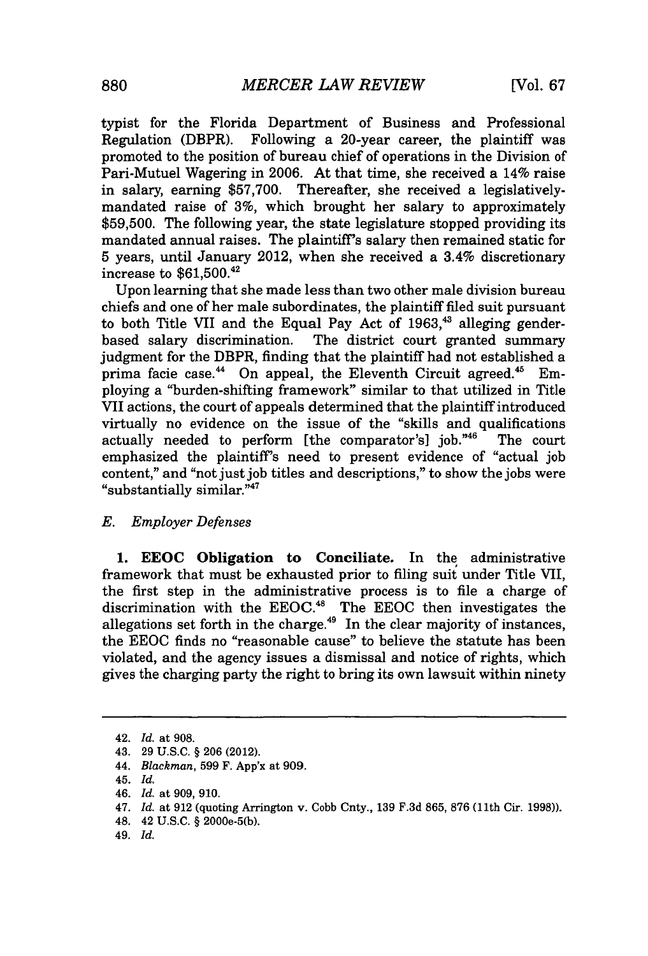typist for the Florida Department of Business and Professional Regulation (DBPR). Following a 20-year career, the plaintiff was promoted to the position of bureau chief of operations in the Division of Pari-Mutuel Wagering in **2006.** At that time, she received a 14% raise in salary, earning **\$57,700.** Thereafter, she received a legislativelymandated raise of **3%,** which brought her salary to approximately **\$59,500.** The following year, the state legislature stopped providing its mandated annual raises. The plaintiff's salary then remained static for **5** years, until January 2012, when she received a 3.4% discretionary increase to \$61,500.42

Upon learning that she made less than two other male division bureau chiefs and one of her male subordinates, the plaintiff filed suit pursuant to both Title VII and the Equal Pay Act of 1963,<sup>43</sup> alleging gender-<br>based salary discrimination. The district court granted summary The district court granted summary judgment for the DBPR, finding that the plaintiff had not established a prima facie case.<sup>44</sup> On appeal, the Eleventh Circuit agreed.<sup>45</sup> Employing a "burden-shifting framework" similar to that utilized in Title VII actions, the court of appeals determined that the plaintiff introduced virtually no evidence on the issue of the "skills and qualifications actually needed to perform [the comparator's] **job."<sup>4</sup> '** The court emphasized the plaintiff's need to present evidence of "actual **job** content," and "not just **job** titles and descriptions," to show the jobs were "substantially similar."<sup>47</sup>

#### *E. Employer Defenses*

**1. EEOC Obligation to Conciliate.** In the administrative framework that must be exhausted prior to filing suit under Title VII, the first step in the administrative process is to file a charge of discrimination with the **EEOC. <sup>4</sup><sup>8</sup>**The **EEOC** then investigates the allegations set forth in the charge.<sup>49</sup> In the clear majority of instances, the **EEOC** finds no "reasonable cause" to believe the statute has been violated, and the agency issues a dismissal and notice of rights, which gives the charging party the right to bring its own lawsuit within ninety

- *47. Id.* at **912** (quoting Arrington v. Cobb Cnty., **139 F.3d 865, 876** (11th Cir. **1998)).**
- 48. 42 **U.S.C. §** 2000e-5(b).
- *49. Id.*

<sup>42.</sup> *Id.* at **908.**

<sup>43.</sup> **29 U.S.C. § 206** (2012).

<sup>44.</sup> *Blackman,* **599** F. App'x at **909.**

<sup>45.</sup> *Id.*

*<sup>46.</sup> Id.* at **909, 910.**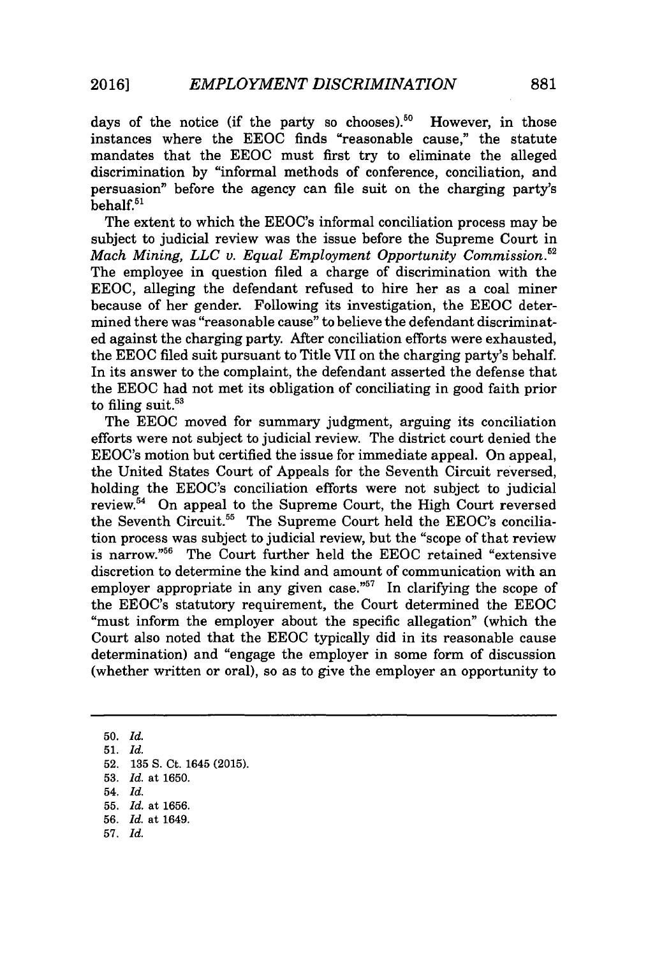days of the notice (if the party so chooses).<sup>50</sup> However, in those instances where the **EEOC** finds "reasonable cause," the statute mandates that the **EEOC** must first try to eliminate the alleged discrimination **by** "informal methods of conference, conciliation, and persuasion" before the agency can file suit on the charging party's  $behalf.<sup>51</sup>$ 

The extent to which the EEOC's informal conciliation process may be subject to judicial review was the issue before the Supreme Court in *Mach Mining, LLC v. Equal Employment Opportunity Commission.*<sup>52</sup> The employee in question filed a charge of discrimination with the **EEOC,** alleging the defendant refused to hire her as a coal miner because of her gender. Following its investigation, the **EEOC** determined there was "reasonable cause" to believe the defendant discriminated against the charging party. After conciliation efforts were exhausted, the **EEOC** filed suit pursuant to Title VII on the charging party's behalf. In its answer to the complaint, the defendant asserted the defense that the **EEOC** had not met its obligation of conciliating in good faith prior to filing suit. $53$ 

The **EEOC** moved for summary judgment, arguing its conciliation efforts were not subject to judicial review. The district court denied the EEOC's motion but certified the issue for immediate appeal. On appeal, the United States Court of Appeals for the Seventh Circuit reversed, holding the EEOC's conciliation efforts were not subject to judicial review.<sup>54</sup> On appeal to the Supreme Court, the High Court reversed the Seventh Circuit.<sup>55</sup> The Supreme Court held the EEOC's conciliation process was subject to judicial review, but the "scope of that review is narrow."<sup>56</sup> The Court further held the EEOC retained "extensive discretion to determine the kind and amount of communication with an employer appropriate in any given case."<sup>57</sup> In clarifying the scope of the EEOC's statutory requirement, the Court determined the **EEOC** "must inform the employer about the specific allegation" (which the Court also noted that the **EEOC** typically did in its reasonable cause determination) and "engage the employer in some form of discussion (whether written or oral), so as to give the employer an opportunity to

**50.** *Id.* **51.** *Id.* **52. 135 S.** Ct. 1645 **(2015). 53.** *Id.* at **1650.** 54. *Id.* **55.** *Id.* at **1656. 56.** *Id.* at 1649. **57.** *Id.*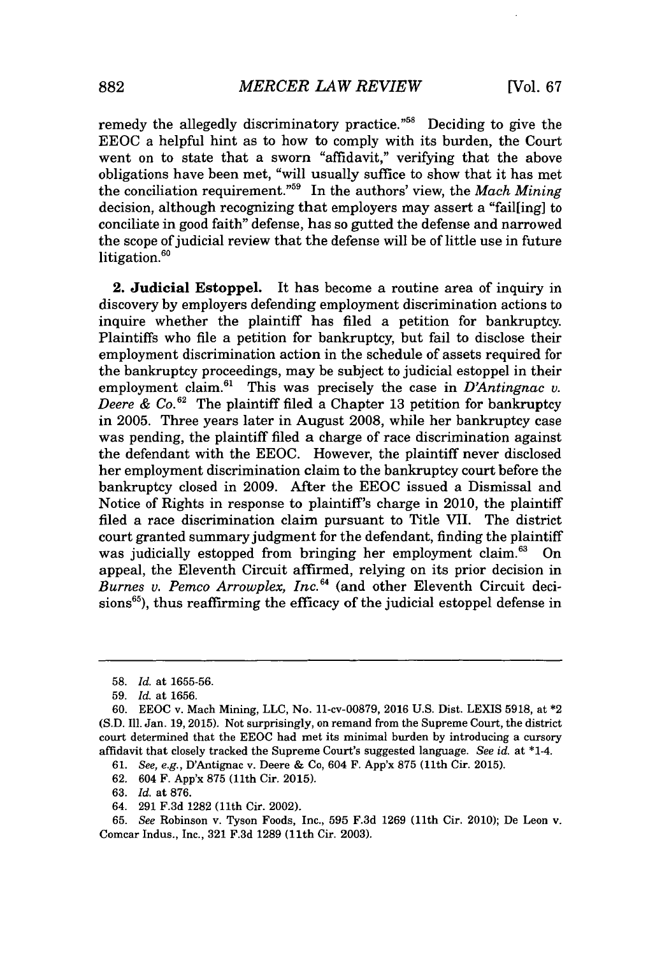remedy the allegedly discriminatory practice."<sup>58</sup> Deciding to give the **EEOC** a helpful hint as to how to comply with its burden, the Court went on to state that a sworn "affidavit," verifying that the above obligations have been met, "will usually suffice to show that it has met the conciliation requirement."<sup>59</sup> In the authors' view, the *Mach Mining* decision, although recognizing that employers may assert a *"failling]* to conciliate in good faith" defense, has so gutted the defense and narrowed the scope of judicial review that the defense will be of little use in future litigation.<sup>60</sup>

**2. Judicial Estoppel.** It has become a routine area of inquiry in discovery **by** employers defending employment discrimination actions to inquire whether the plaintiff has filed a petition for bankruptcy. Plaintiffs who file a petition for bankruptcy, but fail to disclose their employment discrimination action in the schedule of assets required for the bankruptcy proceedings, may be subject to judicial estoppel in their employment claim.<sup>61</sup> This was precisely the case in *D'Antingnac v. Deere & Co.*<sup>62</sup> The plaintiff filed a Chapter 13 petition for bankruptcy in **2005.** Three years later in August **2008,** while her bankruptcy case was pending, the plaintiff filed a charge of race discrimination against the defendant with the **EEOC.** However, the plaintiff never disclosed her employment discrimination claim to the bankruptcy court before the bankruptcy closed in **2009.** After the **EEOC** issued a Dismissal and Notice of Rights in response to plaintiff's charge in 2010, the plaintiff filed a race discrimination claim pursuant to Title VII. The district court granted summary judgment for the defendant, finding the plaintiff<br>was judicially estopped from bringing her employment claim.<sup>63</sup> On was judicially estopped from bringing her employment claim.<sup>63</sup> appeal, the Eleventh Circuit affirmed, relying on its prior decision in *Burnes v. Pemco Arrowplex, Inc. <sup>6</sup>4* (and other Eleventh Circuit deci- $\sinh^{65}$ ), thus reaffirming the efficacy of the judicial estoppel defense in

64. **291 F.3d 1282** (11th Cir. 2002).

**<sup>58.</sup>** *Id.* at **1655-56.**

**<sup>59.</sup>** *Id.* at **1656.**

**<sup>60.</sup> EEOC** v. Mach Mining, **LLC,** No. 11-cv-00879, 2016 **U.S.** Dist. LEXIS 5918, at \*2 **(S.D.** Ill. Jan. **19, 2015).** Not surprisingly, on remand from the Supreme Court, the district court determined that the **EEOC** had met its minimal burden **by** introducing a cursory affidavit that closely tracked the Supreme Court's suggested language. *See id.* at \*1.4.

**<sup>61.</sup>** See, e.g., D'Antignac v. Deere **&** Co, 604 F. App'x **875** (11th Cir. **2015).**

**<sup>62.</sup>** 604 F. App'x **875** (11th Cir. **2015).**

**<sup>63.</sup>** *Id.* at **876.**

**<sup>65.</sup>** *See* Robinson v. Tyson Foods, Inc., **595 F.3d 1269** (11th Cir. 2010); De Leon v. Comcar Indus., Inc., **321 F.3d 1289** (11th Cir. **2003).**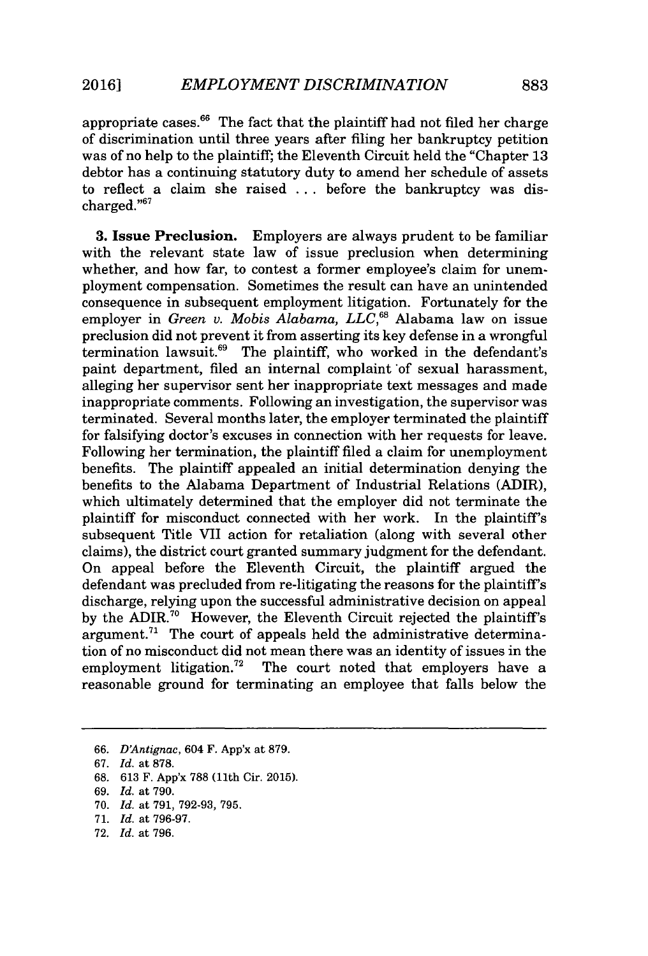appropriate cases. $66$  The fact that the plaintiff had not filed her charge of discrimination until three years after filing her bankruptcy petition was of no help to the plaintiff; the Eleventh Circuit held the "Chapter **13** debtor has a continuing statutory duty to amend her schedule of assets to reflect a claim she raised **.** . **.** before the bankruptcy was discharged."<sup>6</sup><sup>7</sup>

**3.** Issue **Preclusion.** Employers are always prudent to be familiar with the relevant state law of issue preclusion when determining whether, and how far, to contest a former employee's claim for unemployment compensation. Sometimes the result can have an unintended consequence in subsequent employment litigation. Fortunately for the employer in *Green v. Mobis Alabama, LLC*,<sup>68</sup> Alabama law on issue preclusion did not prevent it from asserting its key defense in a wrongful termination lawsuit.<sup>69</sup> The plaintiff, who worked in the defendant's paint department, filed an internal complaint of sexual harassment, alleging her supervisor sent her inappropriate text messages and made inappropriate comments. Following an investigation, the supervisor was terminated. Several months later, the employer terminated the plaintiff for falsifying doctor's excuses in connection with her requests for leave. Following her termination, the plaintiff filed a claim for unemployment benefits. The plaintiff appealed an initial determination denying the benefits to the Alabama Department of Industrial Relations (ADIR), which ultimately determined that the employer did not terminate the plaintiff for misconduct connected with her work. In the plaintiff's subsequent Title VII action for retaliation (along with several other claims), the district court granted summary judgment for the defendant. On appeal before the Eleventh Circuit, the plaintiff argued the defendant was precluded from re-litigating the reasons for the plaintiff's discharge, relying upon the successful administrative decision on appeal by the ADIR.<sup>70</sup> However, the Eleventh Circuit rejected the plaintiff's argument.<sup>71</sup> The court of appeals held the administrative determination of no misconduct did not mean there was an identity of issues in the employment litigation.<sup>72</sup> The court noted that employers have a reasonable ground for terminating an employee that falls below the

- **70.** *Id.* at **791, 792-93, 795.**
- **71.** *Id.* at **796-97.**
- **72.** *Id.* at **796.**

*<sup>66.</sup> D'Antignac,* 604 F. App'x at **879.**

*<sup>67.</sup> Id.* at **878.**

**<sup>68. 613</sup>** F. App'x **788** (11th Cir. **2015).**

*<sup>69.</sup> Id.* at **790.**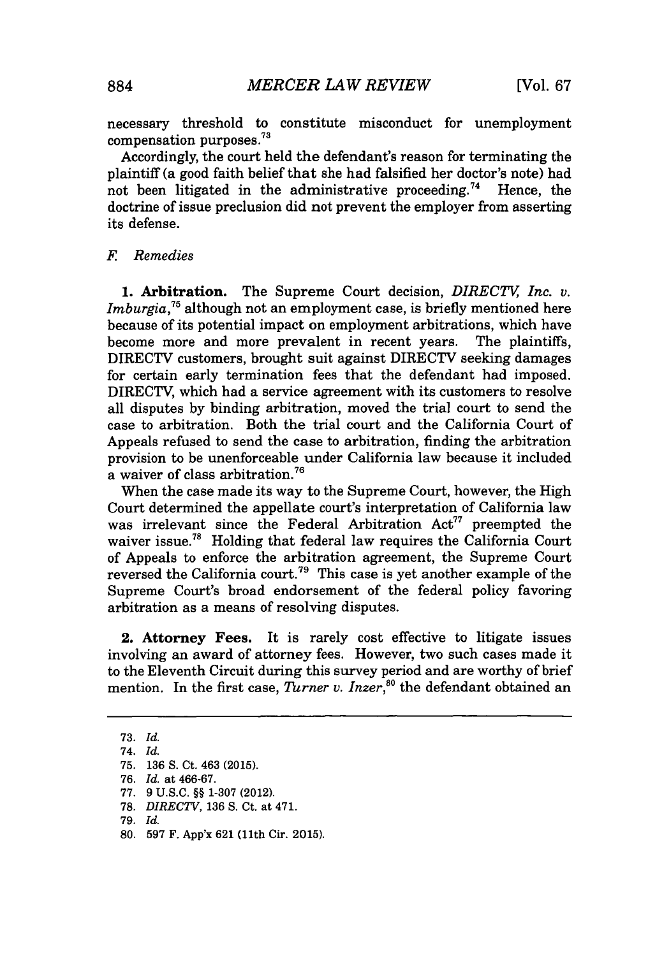necessary threshold to constitute misconduct for unemployment compensation purposes.

Accordingly, the court held the defendant's reason for terminating the plaintiff (a good faith belief that she had falsified her doctor's note) had not been litigated in the administrative proceeding.<sup>74</sup> Hence, the doctrine of issue preclusion did not prevent the employer from asserting its defense.

### *F Remedies*

**1. Arbitration.** The Supreme Court decision, *DIRECTV Inc. v. Imburgia*,<sup>75</sup> although not an employment case, is briefly mentioned here because of its potential impact on employment arbitrations, which have become more and more prevalent in recent years. The plaintiffs, DIRECTV customers, brought suit against DIRECTV seeking damages for certain early termination fees that the defendant had imposed. DIRECTV, which had a service agreement with its customers to resolve all disputes **by** binding arbitration, moved the trial court to send the case to arbitration. Both the trial court and the California Court of Appeals refused to send the case to arbitration, finding the arbitration provision to be unenforceable under California law because it included a waiver of class arbitration.

When the case made its way to the Supreme Court, however, the High Court determined the appellate court's interpretation of California law was irrelevant since the Federal Arbitration Act<sup>77</sup> preempted the waiver issue.<sup>78</sup> Holding that federal law requires the California Court of Appeals to enforce the arbitration agreement, the Supreme Court reversed the California court.<sup>79</sup> This case is yet another example of the Supreme Court's broad endorsement of the federal policy favoring arbitration as a means of resolving disputes.

2. Attorney Fees. It is rarely cost effective to litigate issues involving an award of attorney fees. However, two such cases made it to the Eleventh Circuit during this survey period and are worthy of brief mention. In the first case, *Turner v. Inzer*,<sup>80</sup> the defendant obtained an

**<sup>73.</sup>** *Id.*

*<sup>74.</sup> Id.*

**<sup>75. 136</sup> S.** Ct. 463 **(2015).**

*<sup>76.</sup> Id.* at **466-67.**

**<sup>77. 9</sup> U.S.C. §§ 1-307** (2012).

**<sup>78.</sup>** *DIRECTV,* **136 S.** Ct. at 471.

*<sup>79.</sup> Id.*

**<sup>80. 597</sup>** F. App'x **621** (11th Cir. **2015).**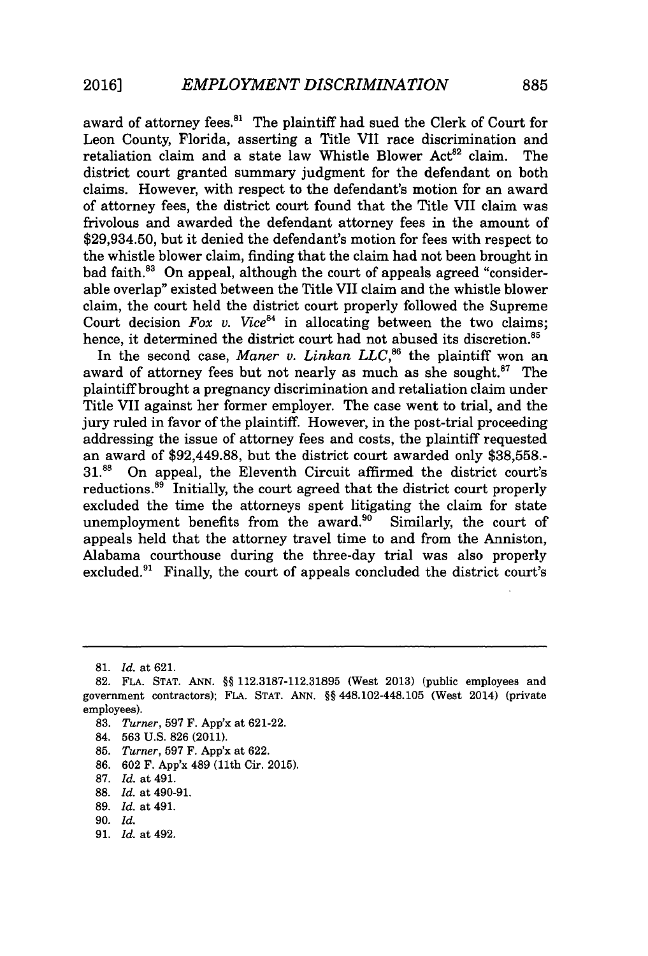award of attorney fees.<sup>81</sup> The plaintiff had sued the Clerk of Court for Leon County, Florida, asserting a Title VII race discrimination and retaliation claim and a state law Whistle Blower Act<sup>82</sup> claim. The district court granted summary judgment for the defendant on both claims. However, with respect to the defendant's motion for an award of attorney fees, the district court found that the Title VII claim was frivolous and awarded the defendant attorney fees in the amount of **\$29,934.50,** but it denied the defendant's motion for fees with respect to the whistle blower claim, finding that the claim had not been brought in bad faith.<sup>83</sup> On appeal, although the court of appeals agreed "considerable overlap" existed between the Title VII claim and the whistle blower claim, the court held the district court properly followed the Supreme Court decision *Fox v.* Vice<sup>84</sup> in allocating between the two claims; hence, it determined the district court had not abused its discretion.<sup>85</sup>

In the second case, *Maner v. Linkan LLC*,<sup>86</sup> the plaintiff won an award of attorney fees but not nearly as much as she sought. $^{87}$  The plaintiff brought a pregnancy discrimination and retaliation claim under Title VII against her former employer. The case went to trial, and the jury ruled in favor of the plaintiff. However, in the post-trial proceeding addressing the issue of attorney fees and costs, the plaintiff requested an award of \$92,449.88, but the district court awarded only **\$38,558.- 31.8** On appeal, the Eleventh Circuit affirmed the district court's reductions.<sup>89</sup> Initially, the court agreed that the district court properly excluded the time the attorneys spent litigating the claim for state unemployment benefits from the award. $90$  Similarly, the court of appeals held that the attorney travel time to and from the Anniston, Alabama courthouse during the three-day trial was also properly excluded.<sup>91</sup> Finally, the court of appeals concluded the district court's

- **83.** *Turner,* **597** F. App'x at **621-22.**
- 84. **563 U.S. 826** (2011).
- **85.** *Turner,* **597** F. App'x at **622.**
- **86. 602** F. App'x 489 (11th Cir. **2015).**
- **87.** *Id.* at 491.
- **88.** *Id.* at 490-91.
- **89.** *Id.* at 491.
- **90.** *Id.*
- **91.** *Id.* at 492.

*<sup>81.</sup> Id.* at **621.**

**<sup>82.</sup> FLA. STAT. ANN.** *§§* **112.3187-112.31895** (West **2013)** (public employees and government contractors); **FLA. STAT. ANN.** *§§* 448.102-448.105 (West 2014) (private employees).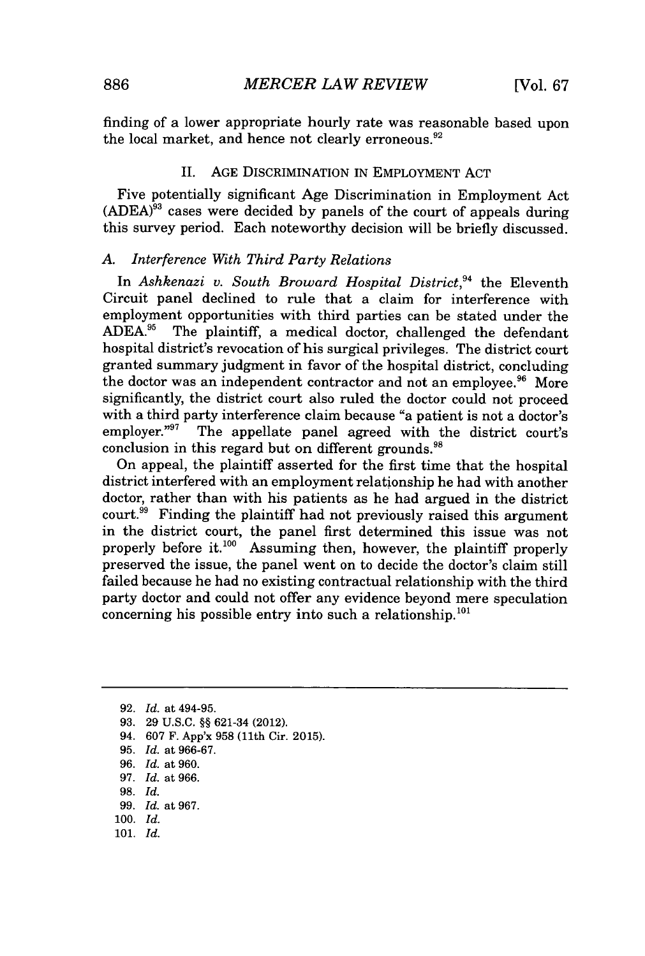finding of a lower appropriate hourly rate was reasonable based upon the local market, and hence not clearly erroneous. $92$ 

#### **II. AGE** DISCRIMINATION IN EMPLOYMENT **ACT**

Five potentially significant Age Discrimination in Employment Act **(ADEA)"** cases were decided **by** panels of the court of appeals during this survey period. Each noteworthy decision will be briefly discussed.

#### *A. Interference With Third Party Relations*

In *Ashkenazi v. South Broward Hospital District*,<sup>94</sup> the Eleventh Circuit panel declined to rule that a claim for interference with employment opportunities with third parties can be stated under the ADEA.<sup>95</sup> The plaintiff, a medical doctor, challenged the defendant The plaintiff, a medical doctor, challenged the defendant hospital district's revocation of his surgical privileges. The district court granted summary judgment in favor of the hospital district, concluding the doctor was an independent contractor and not an employee.<sup>96</sup> More significantly, the district court also ruled the doctor could not proceed with a third party interference claim because "a patient is not a doctor's employer."<sup>97</sup> The appellate panel agreed with the district court's The appellate panel agreed with the district court's conclusion in this regard but on different grounds.<sup>98</sup>

On appeal, the plaintiff asserted for the first time that the hospital district interfered with an employment relationship he had with another doctor, rather than with his patients as he had argued in the district court.<sup>99</sup> Finding the plaintiff had not previously raised this argument in the district court, the panel first determined this issue was not properly before it. $100$  Assuming then, however, the plaintiff properly preserved the issue, the panel went on to decide the doctor's claim still failed because he had no existing contractual relationship with the third party doctor and could not offer any evidence beyond mere speculation concerning his possible entry into such a relationship. $^{101}$ 

- **93. 29 U.S.C. §§** 621-34 (2012).
- 94. **607** F. App'x **958** (11th Cir. **2015).**
- **95.** *Id. at* **966-67.**
- *96. Id. at* **960.**
- **97.** *Id. at* **966.**
- **98.** *Id.*
- **99.** *Id. at 967.*
- **100.** *Id.*
- **101.** *Id.*

**<sup>92.</sup>** *Id. at* 494-95.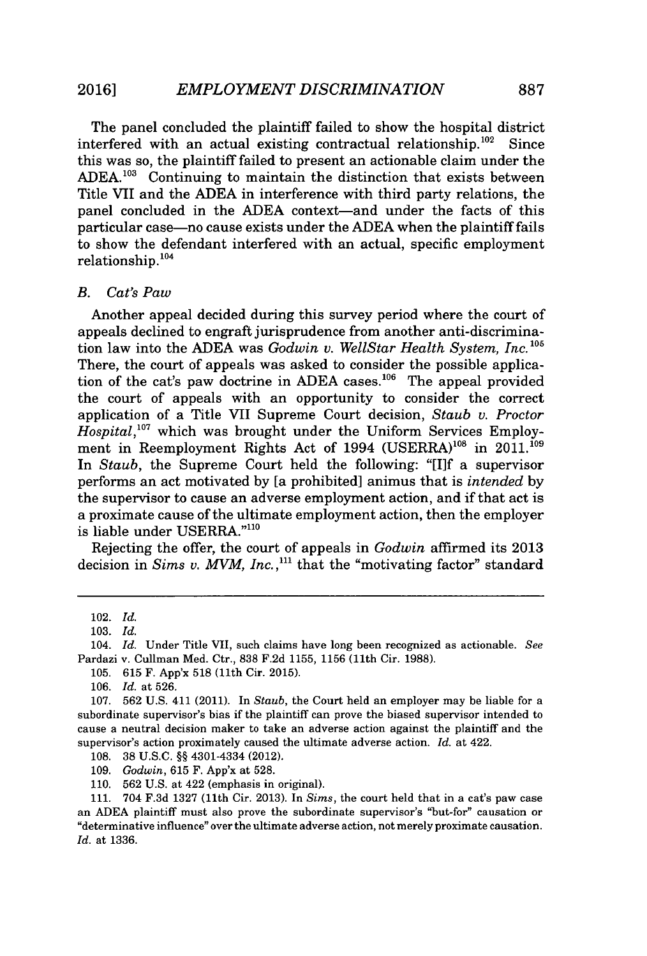The panel concluded the plaintiff failed to show the hospital district interfered with an actual existing contractual relationship.<sup>102</sup> Since this was so, the plaintiff failed to present an actionable claim under the ADEA.<sup>103</sup> Continuing to maintain the distinction that exists between Title VII and the **ADEA** in interference with third party relations, the panel concluded in the ADEA context-and under the facts of this particular case-no cause exists under the **ADEA** when the plaintiff fails to show the defendant interfered with an actual, specific employment relationship. **<sup>104</sup>**

#### *B. Cat's Paw*

Another appeal decided during this survey period where the court of appeals declined to engraft jurisprudence from another anti-discrimination law into the ADEA was *Godwin v. WellStar Health System, Inc.*<sup>105</sup> There, the court of appeals was asked to consider the possible application of the cat's paw doctrine in ADEA cases.<sup>106</sup> The appeal provided the court of appeals with an opportunity to consider the correct application of a Title VII Supreme Court decision, *Staub v. Proctor Hospital*,<sup>107</sup> which was brought under the Uniform Services Employment in Reemployment Rights Act of 1994  $(USERRA)^{108}$  in 2011.<sup>109</sup> In *Staub,* the Supreme Court held the following: "[I]f a supervisor performs an act motivated **by** [a prohibited] animus that is *intended* **by** the supervisor to cause an adverse employment action, and if that act is a proximate cause of the ultimate employment action, then the employer is liable under USERRA."110

Rejecting the offer, the court of appeals in *Godwin* affirmed its **2013** decision in *Sims v. MVM, Inc.*,<sup>111</sup> that the "motivating factor" standard

104. *Id.* Under Title VII, such claims have long been recognized as actionable. *See* Pardazi v. Cullman Med. Ctr., **838 F.2d 1155, 1156** (11th Cir. **1988).**

**105. 615** F. App'x **518** (11th Cir. **2015).**

<sup>102.</sup> *Id.*

**<sup>103.</sup>** *Id.*

**<sup>106.</sup>** *Id.* at **526.**

**<sup>107. 562</sup> U.S.** 411 (2011). In *Staub,* the Court held an employer may be liable for a subordinate supervisor's bias if the plaintiff can prove the biased supervisor intended to cause a neutral decision maker to take an adverse action against the plaintiff and the supervisor's action proximately caused the ultimate adverse action. *Id.* at 422.

**<sup>108. 38</sup> U.S.C. §§** 4301-4334 (2012).

*<sup>109.</sup> Godwin,* **615** F. App'x at **528.**

**<sup>110. 562</sup> U.S.** at 422 (emphasis in original).

**<sup>111.</sup>** 704 **F.3d 1327** (11th Cir. **2013).** In *Sims,* the court held that in a cat's paw case an **ADEA** plaintiff must also prove the subordinate supervisor's "but-for" causation or "determinative influence" over the ultimate adverse action, not merely proximate causation. *Id.* at **1336.**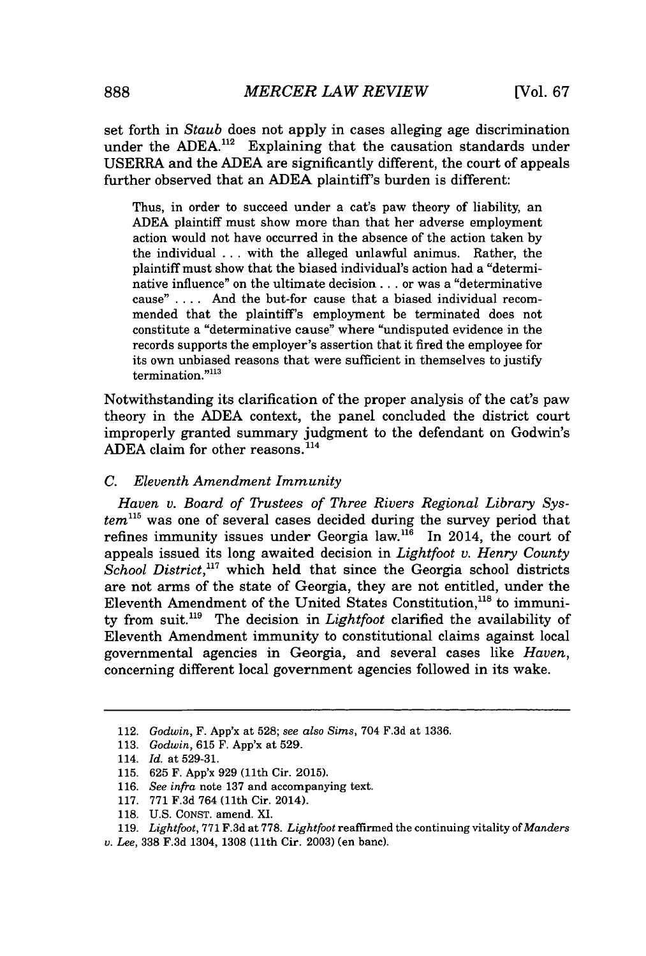set forth in *Staub* does not apply in cases alleging age discrimination under the ADEA.<sup>112</sup> Explaining that the causation standards under USERRA and the **ADEA** are significantly different, the court of appeals further observed that an **ADEA** plaintiff's burden is different:

Thus, in order to succeed under a cat's paw theory of liability, an **ADEA** plaintiff must show more than that her adverse employment action would not have occurred in the absence of the action taken **by** the individual **.. .** with the alleged unlawful animus. Rather, the plaintiff must show that the biased individual's action had a "determinative influence" on the ultimate decision **. ..** or was a "determinative cause" **. . . .** And the but-for cause that a biased individual recommended that the plaintiff's employment be terminated does not constitute a "determinative cause" where "undisputed evidence in the records supports the employer's assertion that it fired the employee for its own unbiased reasons that were sufficient in themselves to justify  $t$ ermination." $113$ 

Notwithstanding its clarification of the proper analysis of the cat's paw theory in the **ADEA** context, the panel concluded the district court improperly granted summary judgment to the defendant on Godwin's ADEA claim for other reasons.<sup>114</sup>

#### *C. Eleventh Amendment Immunity*

Haven v. Board of Trustees of Three Rivers Regional Library System<sup>115</sup> was one of several cases decided during the survey period that refines immunity issues under Georgia law.<sup>116</sup> In 2014, the court of appeals issued its long awaited decision in *Lightfoot v. Henry County School District,"'* which held that since the Georgia school districts are not arms of the state of Georgia, they are not entitled, under the Eleventh Amendment of the United States Constitution,  $118$  to immunity from suit."' The decision in *Lightfoot* clarified the availability of Eleventh Amendment immunity to constitutional claims against local governmental agencies in Georgia, and several cases like *Haven,* concerning different local government agencies followed in its wake.

<sup>112.</sup> *Godwin,* F. App'x at **528;** *see also Sims,* 704 **F.3d** at **1336.**

**<sup>113.</sup>** *Godwin,* **615** F. App'x at **529.**

<sup>114.</sup> *Id.* at **529-31.**

**<sup>115. 625</sup>** F. App'x **929** (11th Cir. **2015).**

**<sup>116.</sup>** *See infra* note **137** and accompanying text.

**<sup>117. 771</sup> F.3d** 764 (11th Cir. 2014).

**<sup>118.</sup> U.S. CONST.** amend. XI.

**<sup>119.</sup>** *Lightfoot,* **771 F.3d** at **778.** *Lightfoot* reaffirmed the continuing vitality of *Manders*

*v. Lee,* **338 F.3d** 1304, **1308** (11th Cir. **2003)** (en banc).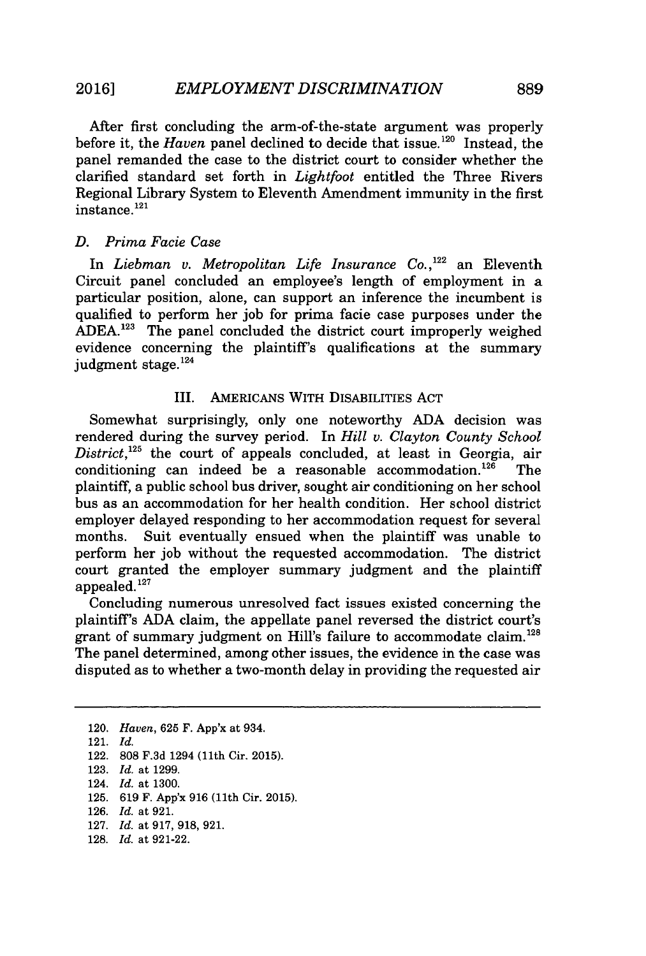After first concluding the arm-of-the-state argument was properly before it, the *Haven* panel declined to decide that issue.<sup>120</sup> Instead, the panel remanded the case to the district court to consider whether the clarified standard set forth in *Lightfoot* entitled the Three Rivers Regional Library System to Eleventh Amendment immunity in the first instance. **<sup>121</sup>**

#### *D. Prima Facie Case*

In *Liebman v. Metropolitan Life Insurance Co.,122* an Eleventh Circuit panel concluded an employee's length of employment in a particular position, alone, can support an inference the incumbent is qualified to perform her **job** for prima facie case purposes under the ADEA.<sup>123</sup> The panel concluded the district court improperly weighed evidence concerning the plaintiff's qualifications at the summary judgment stage. $^{124}$ 

#### III. AMERICANS WITH DISABILITIES **ACT**

Somewhat surprisingly, only one noteworthy **ADA** decision was rendered during the survey period. In *Hill v. Clayton County School District,125* the court of appeals concluded, at least in Georgia, air conditioning can indeed be a reasonable accommodation.<sup>126</sup> The plaintiff, a public school bus driver, sought air conditioning on her school bus as an accommodation for her health condition. Her school district employer delayed responding to her accommodation request for several months. Suit eventually ensued when the plaintiff was unable to perform her **job** without the requested accommodation. The district court granted the employer summary judgment and the plaintiff appealed.<sup>127</sup>

Concluding numerous unresolved fact issues existed concerning the plaintiff's **ADA** claim, the appellate panel reversed the district court's grant of summary judgment on Hill's failure to accommodate claim.<sup>128</sup> The panel determined, among other issues, the evidence in the case was disputed as to whether a two-month delay in providing the requested air

120. *Haven,* **625** F. App'x at 934. 121. *Id.* 122. **808 F.3d** 1294 (11th Cir. **2015). 123.** *Id. at* **1299.** 124. *Id. at* **1300. 125. 619** F. App'x **916** (11th Cir. **2015). 126.** *Id. at* **921. 127.** *Id. at* **917, 918, 921. 128.** *Id. at* **921-22.**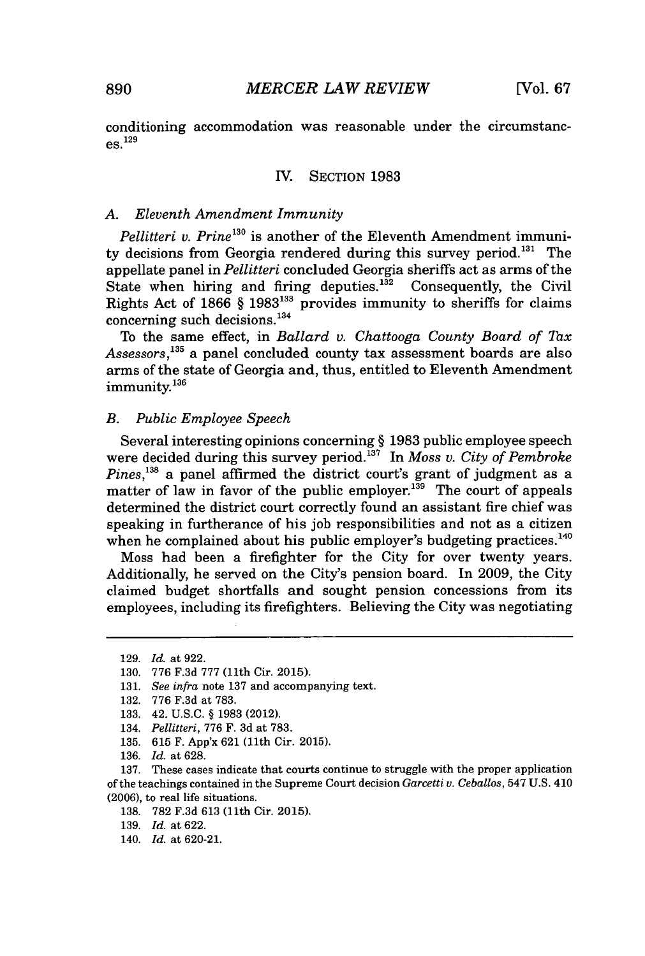conditioning accommodation was reasonable under the circumstanc**es. <sup>129</sup>**

#### IV. SECTION **1983**

#### *A. Eleventh Amendment Immunity*

*Pellitteri v. Prine*<sup>130</sup> is another of the Eleventh Amendment immunity decisions from Georgia rendered during this survey period.<sup>131</sup> The appellate panel in *Pellitteri* concluded Georgia sheriffs act as arms of the State when hiring and firing deputies. $1^{32}$  Consequently, the Civil Rights Act of **1866** *§* **1983133** provides immunity to sheriffs for claims concerning such decisions.<sup>134</sup>

To the same effect, in *Ballard v. Chattooga County Board of Tax Assessors,'13* a panel concluded county tax assessment boards are also arms of the state of Georgia and, thus, entitled to Eleventh Amendment immunity.<sup>136</sup>

#### *B. Public Employee Speech*

Several interesting opinions concerning *§* **1983** public employee speech were decided during this survey period.<sup>137</sup> In Moss v. City of Pembroke *Pines*,<sup>138</sup> a panel affirmed the district court's grant of judgment as a matter of law in favor of the public employer.<sup>139</sup> The court of appeals determined the district court correctly found an assistant fire chief was speaking in furtherance of his **job** responsibilities and not as a citizen when he complained about his public employer's budgeting practices.<sup>140</sup>

Moss had been a firefighter for the City for over twenty years. Additionally, he served on the City's pension board. In **2009,** the City claimed budget shortfalls and sought pension concessions from its employees, including its firefighters. Believing the City was negotiating

**136.** *Id.* at **628.**

**137.** These cases indicate that courts continue to struggle with the proper application of the teachings contained in the Supreme Court decision *Garcetti v. Ceballos,* 547 **U.S.** 410 **(2006),** to real life situations.

**138. 782 F.3d 613** (11th Cir. **2015).**

**<sup>129.</sup>** *Id.* at **922.**

**<sup>130. 776</sup> F.3d 777** (11th Cir. **2015).**

**<sup>131.</sup>** *See infra* note **137** and accompanying text.

**<sup>132. 776</sup> F.3d** at **783.**

**<sup>133.</sup>** 42. **U.S.C.** *§* **1983** (2012).

<sup>134.</sup> *Pellitteri,* **776** F. **3d** at **783.**

**<sup>135. 615</sup>** F. App'x **621** (11th Cir. **2015).**

**<sup>139.</sup>** *Id.* at **622.**

<sup>140.</sup> *Id.* at **620-21.**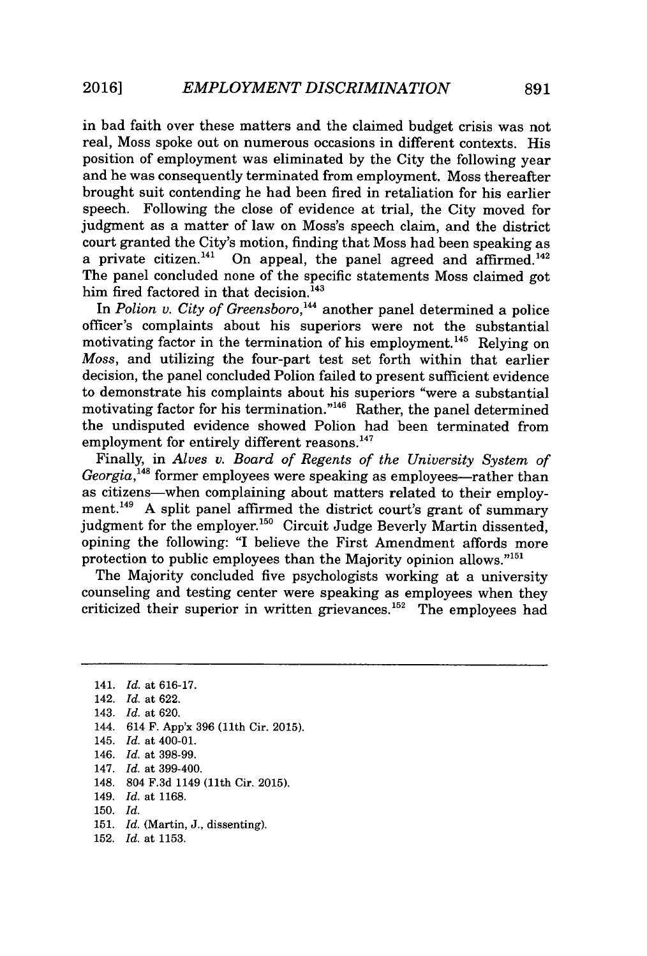in bad faith over these matters and the claimed budget crisis was not real, Moss spoke out on numerous occasions in different contexts. His position of employment was eliminated **by** the City the following year and he was consequently terminated from employment. Moss thereafter brought suit contending he had been fired in retaliation for his earlier speech. Following the close of evidence at trial, the City moved for judgment as a matter of law on Moss's speech claim, and the district court granted the City's motion, finding that Moss had been speaking as a private citizen.<sup>141</sup> On appeal, the panel agreed and affirmed.<sup>142</sup> The panel concluded none of the specific statements Moss claimed got him fired factored in that decision.<sup>143</sup>

In *Polion v. City of Greensboro,144* another panel determined a police officer's complaints about his superiors were not the substantial motivating factor in the termination of his employment.<sup>145</sup> Relying on *Moss,* and utilizing the four-part test set forth within that earlier decision, the panel concluded Polion failed to present sufficient evidence to demonstrate his complaints about his superiors "were a substantial motivating factor for his termination." $46$  Rather, the panel determined the undisputed evidence showed Polion had been terminated from employment for entirely different reasons.<sup>147</sup>

Finally, in *Alves v. Board of Regents of the University System of Georgia*,<sup>148</sup> former employees were speaking as employees—rather than as citizens-when complaining about matters related to their employment.<sup>149</sup> A split panel affirmed the district court's grant of summary judgment for the employer.<sup>150</sup> Circuit Judge Beverly Martin dissented, opining the following: "I believe the First Amendment affords more protection to public employees than the Majority opinion allows."<sup>151</sup>

The Majority concluded five psychologists working at a university counseling and testing center were speaking as employees when they criticized their superior in written grievances.<sup>152</sup> The employees had

<sup>141.</sup> *Id.* at **616-17.** 142. *Id.* at **622.** 143. *Id.* at **620.** 144. 614 F. App'x **396** (11th Cir. **2015).** 145. *Id.* at 400-01. 146. *Id.* at **398-99.** 147. *Id.* at 399-400. 148. 804 **F.3d** 1149 (11th Cir. **2015).** 149. *Id.* at **1168. 150.** *Id.* **151.** *Id.* (Martin, **J.,** dissenting). **152.** *Id.* at **1153.**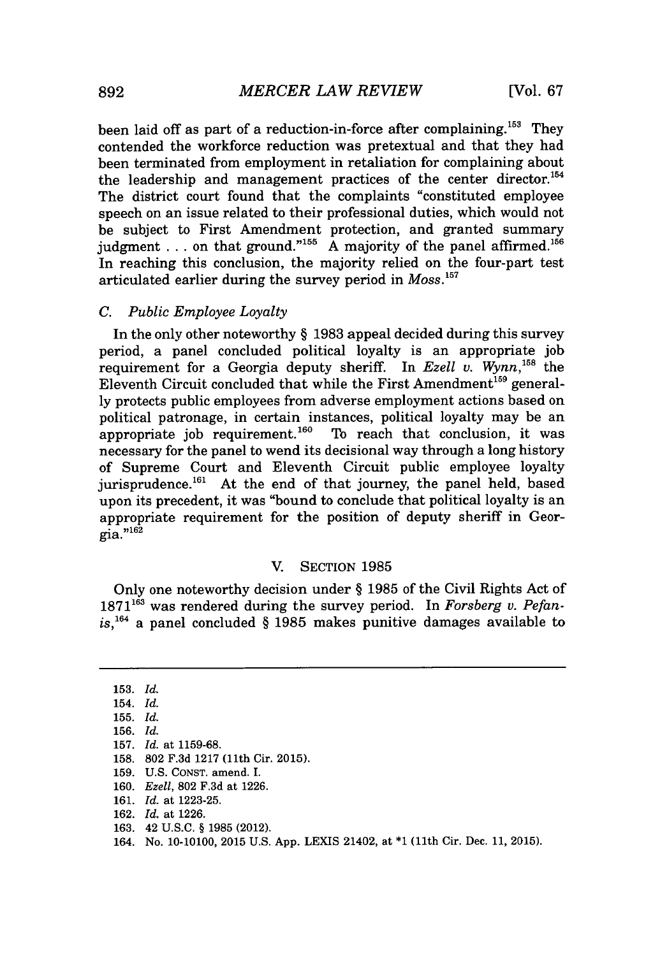been laid off as part of a reduction-in-force after complaining.<sup>153</sup> They contended the workforce reduction was pretextual and that they had been terminated from employment in retaliation for complaining about the leadership and management practices of the center director.<sup>154</sup> The district court found that the complaints "constituted employee speech on an issue related to their professional duties, which would not be subject to First Amendment protection, and granted summary judgment . . . on that ground."<sup>155</sup> A majority of the panel affirmed.<sup>15</sup> In reaching this conclusion, the majority relied on the four-part test articulated earlier during the survey period in *Moss*.<sup>157</sup>

#### *C. Public Employee Loyalty*

In the only other noteworthy *§* **1983** appeal decided during this survey period, a panel concluded political loyalty is an appropriate **job** requirement for a Georgia deputy sheriff. In *Ezell v. Wynn*,<sup>158</sup> the Eleventh Circuit concluded that while the First Amendment<sup>159</sup> general**ly** protects public employees from adverse employment actions based on political patronage, in certain instances, political loyalty may be an appropriate job requirement.<sup>160</sup> To reach that conclusion, it was necessary for the panel to wend its decisional way through a long history of Supreme Court and Eleventh Circuit public employee loyalty jurisprudence.<sup>161</sup> At the end of that journey, the panel held, based upon its precedent, it was "bound to conclude that political loyalty is an appropriate requirement for the position of deputy sheriff in Geor- $\overline{g}$ ia."<sup>162</sup>

#### V. **SECTION 1985**

Only one noteworthy decision under *§* **1985** of the Civil Rights Act of 1871<sup>163</sup> was rendered during the survey period. In *Forsberg v. Pefanis,164* a panel concluded *§* **1985** makes punitive damages available to

| $153.$ Id. |                                                                                 |
|------------|---------------------------------------------------------------------------------|
| $154.$ Id. |                                                                                 |
| $155.$ Id. |                                                                                 |
| 156. Id.   |                                                                                 |
|            | 157. Id. at 1159-68.                                                            |
|            | 158. 802 F.3d 1217 (11th Cir. 2015).                                            |
|            | 159. U.S. CONST. amend. I.                                                      |
|            | 160. Ezell, 802 F.3d at 1226.                                                   |
|            | 161. $Id.$ at 1223-25.                                                          |
|            | 162. <i>Id.</i> at 1226.                                                        |
|            | 163. 42 U.S.C. § 1985 (2012).                                                   |
|            | 164. No. 10-10100, 2015 U.S. App. LEXIS 21402, at *1 (11th Cir. Dec. 11, 2015). |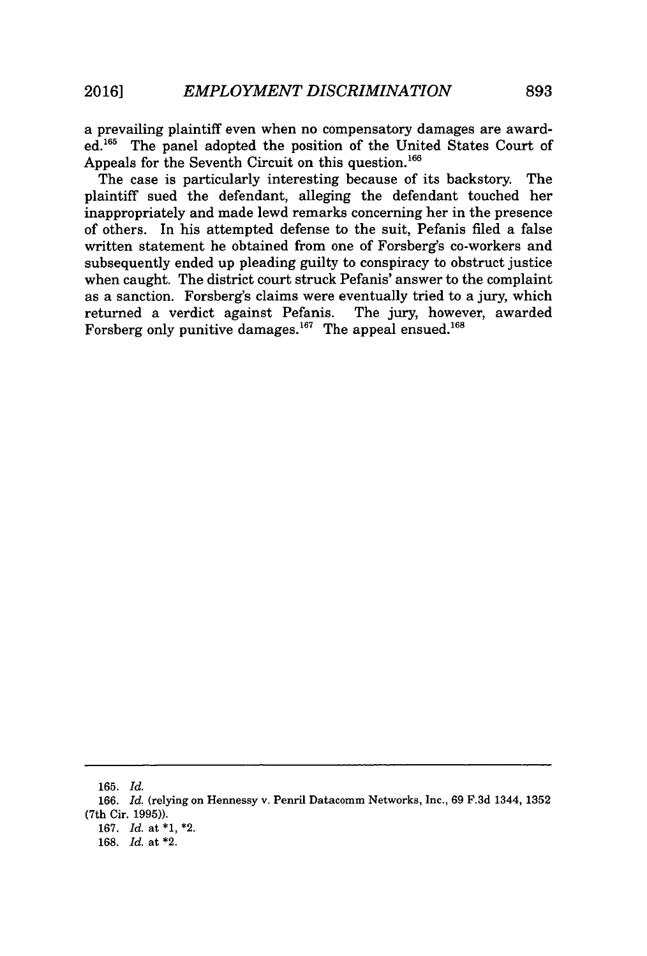a prevailing plaintiff even when no compensatory damages are awarded.<sup>165</sup> The panel adopted the position of the United States Court of Appeals for the Seventh Circuit on this question.<sup>166</sup>

The case is particularly interesting because of its backstory. The plaintiff sued the defendant, alleging the defendant touched her inappropriately and made lewd remarks concerning her in the presence of others. In his attempted defense to the suit, Pefanis filed a false written statement he obtained from one of Forsberg's co-workers and subsequently ended up pleading guilty to conspiracy to obstruct justice when caught. The district court struck Pefanis' answer to the complaint as a sanction. Forsberg's claims were eventually tried to a jury, which returned a verdict against Pefanis. The jury, however, awarded Forsberg only punitive damages.<sup>167</sup> The appeal ensued.<sup>168</sup>

**<sup>165.</sup>** *Id.*

**<sup>166.</sup>** *Id.* (relying on Hennessy v. Penril Datacomm Networks, Inc., **69 F.3d** 1344, **1352** (7th Cir. **1995)).**

**<sup>167.</sup>** *Id.* at **\*1,** \*2.

**<sup>168.</sup>** *Id.* at \*2.